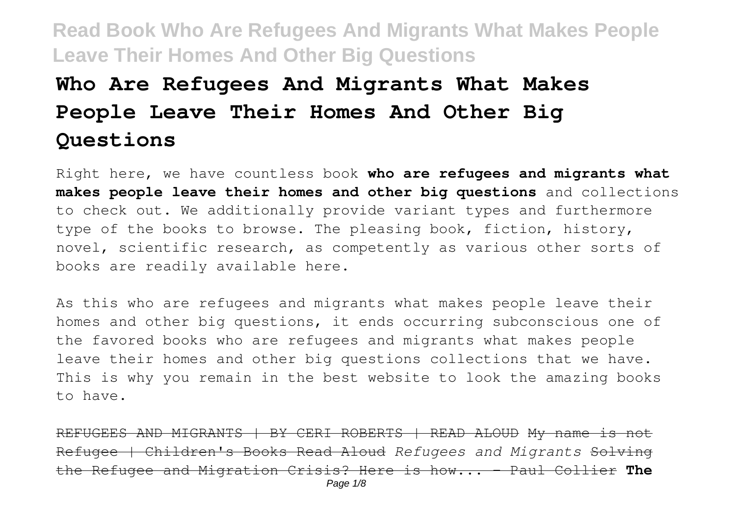# **Who Are Refugees And Migrants What Makes People Leave Their Homes And Other Big Questions**

Right here, we have countless book **who are refugees and migrants what makes people leave their homes and other big questions** and collections to check out. We additionally provide variant types and furthermore type of the books to browse. The pleasing book, fiction, history, novel, scientific research, as competently as various other sorts of books are readily available here.

As this who are refugees and migrants what makes people leave their homes and other big questions, it ends occurring subconscious one of the favored books who are refugees and migrants what makes people leave their homes and other big questions collections that we have. This is why you remain in the best website to look the amazing books to have.

REFUGEES AND MIGRANTS | BY CERI ROBERTS | READ ALOUD My name is not Refugee | Children's Books Read Aloud *Refugees and Migrants* Solving the Refugee and Migration Crisis? Here is how... - Paul Collier **The** Page 1/8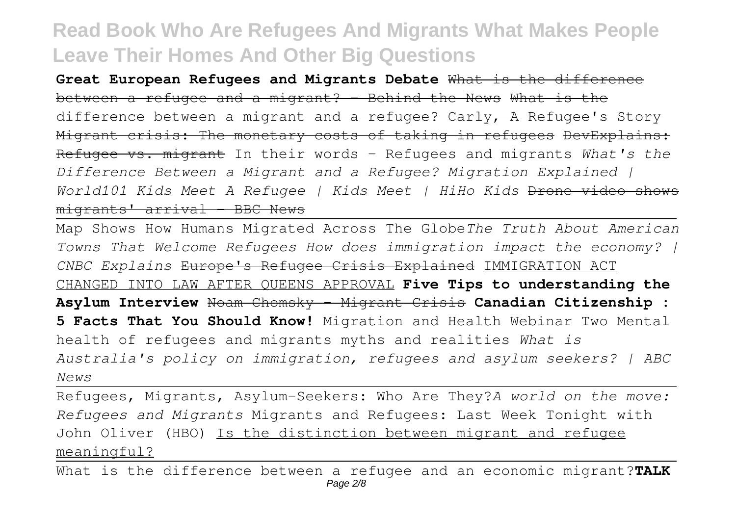**Great European Refugees and Migrants Debate** What is the difference between a refugee and a migrant? - Behind the News What is the difference between a migrant and a refugee? Carly, A Refugee's Story Migrant crisis: The monetary costs of taking in refugees DevExplains: Refugee vs. migrant In their words - Refugees and migrants *What's the Difference Between a Migrant and a Refugee? Migration Explained | World101 Kids Meet A Refugee | Kids Meet | HiHo Kids* Drone video shows  $m$ igrants' arrival - BBC News

Map Shows How Humans Migrated Across The Globe*The Truth About American Towns That Welcome Refugees How does immigration impact the economy? | CNBC Explains* Europe's Refugee Crisis Explained IMMIGRATION ACT CHANGED INTO LAW AFTER QUEENS APPROVAL **Five Tips to understanding the Asylum Interview** Noam Chomsky - Migrant Crisis **Canadian Citizenship : 5 Facts That You Should Know!** Migration and Health Webinar Two Mental health of refugees and migrants myths and realities *What is Australia's policy on immigration, refugees and asylum seekers? | ABC News*

Refugees, Migrants, Asylum-Seekers: Who Are They?*A world on the move: Refugees and Migrants* Migrants and Refugees: Last Week Tonight with John Oliver (HBO) Is the distinction between migrant and refugee meaningful?

What is the difference between a refugee and an economic migrant?**TALK** Page 2/8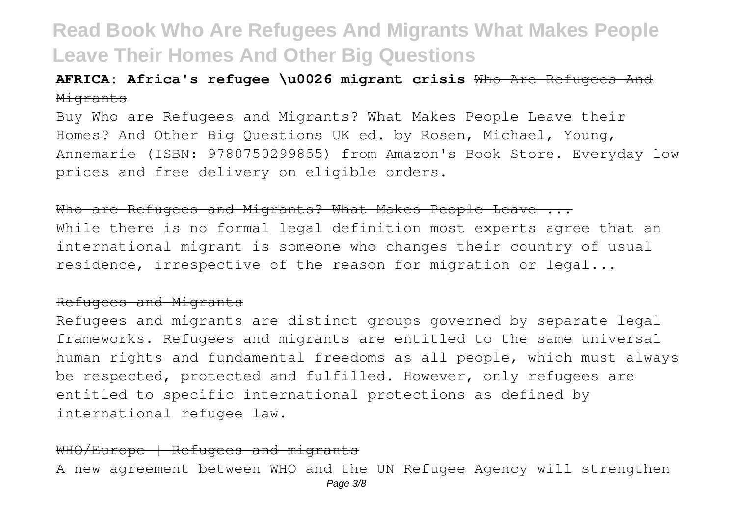### **AFRICA: Africa's refugee \u0026 migrant crisis** Who Are Refugees And Migrants

Buy Who are Refugees and Migrants? What Makes People Leave their Homes? And Other Big Questions UK ed. by Rosen, Michael, Young, Annemarie (ISBN: 9780750299855) from Amazon's Book Store. Everyday low prices and free delivery on eligible orders.

#### Who are Refugees and Migrants? What Makes People Leave ...

While there is no formal legal definition most experts agree that an international migrant is someone who changes their country of usual residence, irrespective of the reason for migration or legal...

#### Refugees and Migrants

Refugees and migrants are distinct groups governed by separate legal frameworks. Refugees and migrants are entitled to the same universal human rights and fundamental freedoms as all people, which must always be respected, protected and fulfilled. However, only refugees are entitled to specific international protections as defined by international refugee law.

### WHO/Europe | Refugees and migrants A new agreement between WHO and the UN Refugee Agency will strengthen Page 3/8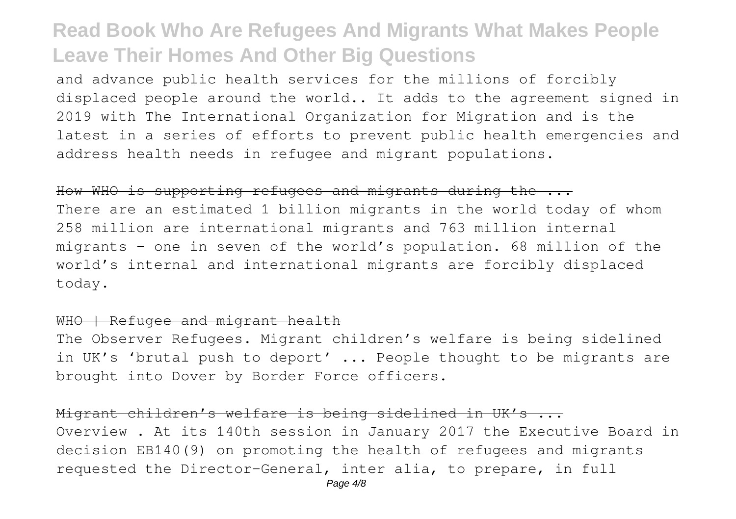and advance public health services for the millions of forcibly displaced people around the world.. It adds to the agreement signed in 2019 with The International Organization for Migration and is the latest in a series of efforts to prevent public health emergencies and address health needs in refugee and migrant populations.

#### How WHO is supporting refugees and migrants during the ...

There are an estimated 1 billion migrants in the world today of whom 258 million are international migrants and 763 million internal migrants – one in seven of the world's population. 68 million of the world's internal and international migrants are forcibly displaced today.

### WHO | Refugee and migrant health

The Observer Refugees. Migrant children's welfare is being sidelined in UK's 'brutal push to deport' ... People thought to be migrants are brought into Dover by Border Force officers.

### Migrant children's welfare is being sidelined in UK's ...

Overview . At its 140th session in January 2017 the Executive Board in decision EB140(9) on promoting the health of refugees and migrants requested the Director-General, inter alia, to prepare, in full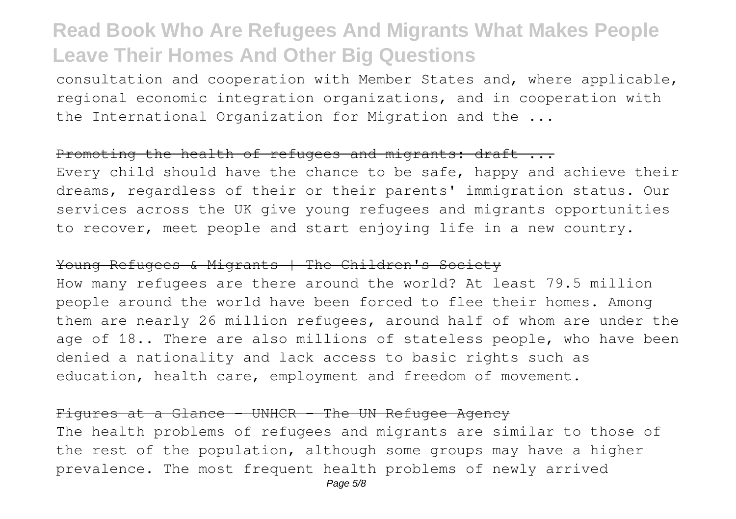consultation and cooperation with Member States and, where applicable, regional economic integration organizations, and in cooperation with the International Organization for Migration and the ...

### Promoting the health of refugees and migrants: draft ...

Every child should have the chance to be safe, happy and achieve their dreams, regardless of their or their parents' immigration status. Our services across the UK give young refugees and migrants opportunities to recover, meet people and start enjoying life in a new country.

#### Young Refugees & Migrants | The Children's Society

How many refugees are there around the world? At least 79.5 million people around the world have been forced to flee their homes. Among them are nearly 26 million refugees, around half of whom are under the age of 18.. There are also millions of stateless people, who have been denied a nationality and lack access to basic rights such as education, health care, employment and freedom of movement.

#### Figures at a Glance - UNHCR - The UN Refugee Agency

The health problems of refugees and migrants are similar to those of the rest of the population, although some groups may have a higher prevalence. The most frequent health problems of newly arrived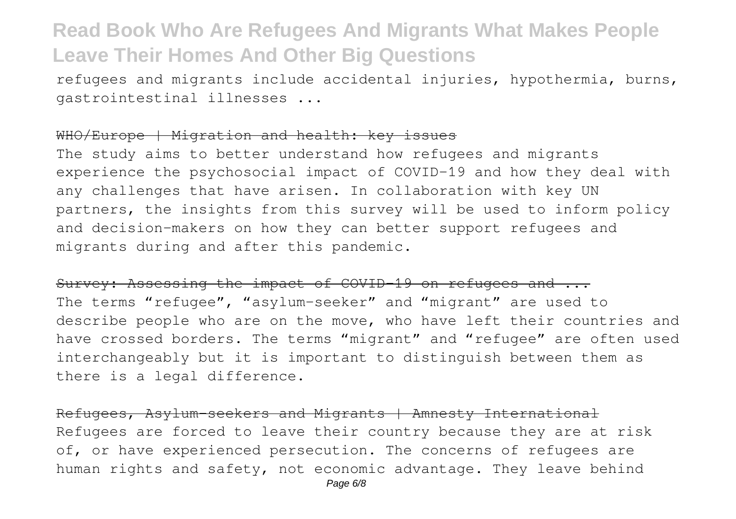refugees and migrants include accidental injuries, hypothermia, burns, gastrointestinal illnesses ...

### WHO/Europe | Migration and health: key issues

The study aims to better understand how refugees and migrants experience the psychosocial impact of COVID-19 and how they deal with any challenges that have arisen. In collaboration with key UN partners, the insights from this survey will be used to inform policy and decision-makers on how they can better support refugees and migrants during and after this pandemic.

### Survey: Assessing the impact of COVID-19 on refugees and ...

The terms "refugee", "asylum-seeker" and "migrant" are used to describe people who are on the move, who have left their countries and have crossed borders. The terms "migrant" and "refugee" are often used interchangeably but it is important to distinguish between them as there is a legal difference.

Refugees, Asylum-seekers and Migrants | Amnesty International Refugees are forced to leave their country because they are at risk of, or have experienced persecution. The concerns of refugees are human rights and safety, not economic advantage. They leave behind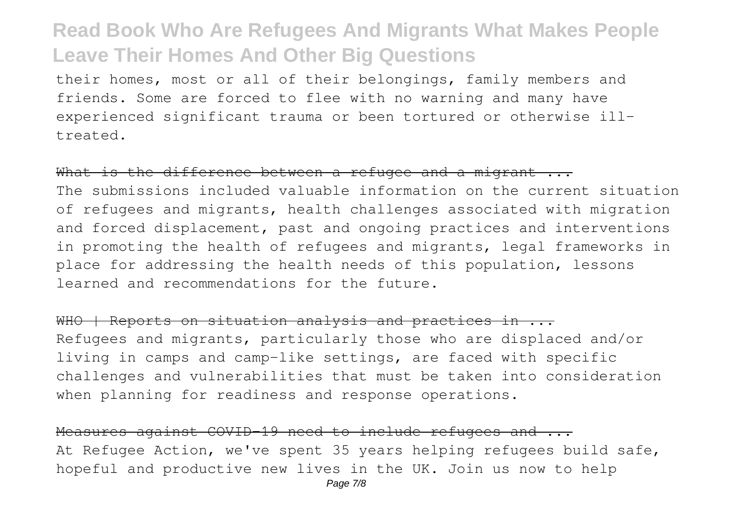their homes, most or all of their belongings, family members and friends. Some are forced to flee with no warning and many have experienced significant trauma or been tortured or otherwise illtreated.

### What is the difference between a refugee and a migrant ...

The submissions included valuable information on the current situation of refugees and migrants, health challenges associated with migration and forced displacement, past and ongoing practices and interventions in promoting the health of refugees and migrants, legal frameworks in place for addressing the health needs of this population, lessons learned and recommendations for the future.

WHO | Reports on situation analysis and practices in ... Refugees and migrants, particularly those who are displaced and/or living in camps and camp-like settings, are faced with specific challenges and vulnerabilities that must be taken into consideration when planning for readiness and response operations.

Measures against COVID-19 need to include refugees and ... At Refugee Action, we've spent 35 years helping refugees build safe, hopeful and productive new lives in the UK. Join us now to help